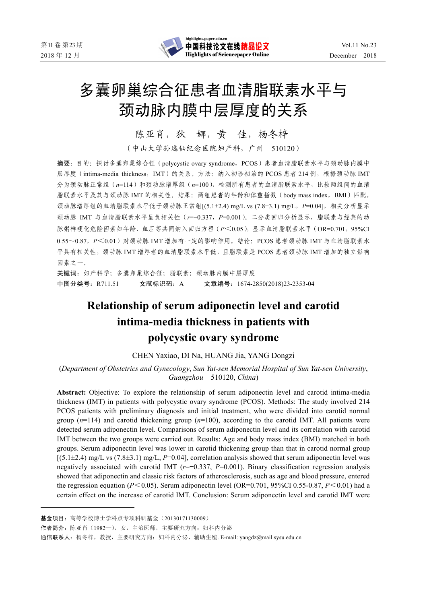

# 多囊卵巢综合征患者血清脂联素水平与 颈动脉内膜中层厚度的关系

陈亚肖,狄 娜,黄 佳,杨冬梓

(中山大学孙逸仙纪念医院妇产科,广州 510120)

摘要:目的:探讨多囊卵巢综合征(polycystic ovary syndrome,PCOS)患者血清脂联素水平与颈动脉内膜中 层厚度(intima-media thickness, IMT)的关系。方法:纳入初诊初治的 PCOS 患者 214 例,根据颈动脉 IMT 分为颈动脉正常组 (n=114) 和颈动脉增厚组 (n=100), 检测所有患者的血清脂联素水平, 比较两组间的血清 脂联素水平及其与颈动脉 IMT 的相关性。结果: 两组患者的年龄和体重指数 (body mass index, BMI) 匹配, 颈动脉增厚组的血清脂联素水平低于颈动脉正常组[(5.1±2.4) mg/L vs (7.8±3.1) mg/L,*P*=0.04],相关分析显示 颈动脉 IMT 与血清脂联素水平呈负相关性(*r*=−0.337,*P*=0.001)。二分类回归分析显示,脂联素与经典的动 脉粥样硬化危险因素如年龄、血压等共同纳入回归方程(P<0.05),显示血清脂联素水平(OR=0.701,95%CI 0.55~0.87,*P*<0.01)对颈动脉 IMT 增加有一定的影响作用。结论:PCOS 患者颈动脉 IMT 与血清脂联素水 平具有相关性,颈动脉 IMT 增厚者的血清脂联素水平低,且脂联素是 PCOS 患者颈动脉 IMT 增加的独立影响 因素之一。

关键词:妇产科学;多囊卵巢综合征;脂联素;颈动脉内膜中层厚度 中图分类号:R711.51 文献标识码:A 文章编号:1674-2850(2018)23-2353-04

# **Relationship of serum adiponectin level and carotid intima-media thickness in patients with polycystic ovary syndrome**

CHEN Yaxiao, DI Na, HUANG Jia, YANG Dongzi

(*Department of Obstetrics and Gynecology*, *Sun Yat*-*sen Memorial Hospital of Sun Yat*-*sen University*, *Guangzhou* 510120, *China*)

**Abstract:** Objective: To explore the relationship of serum adiponectin level and carotid intima-media thickness (IMT) in patients with polycystic ovary syndrome (PCOS). Methods: The study involved 214 PCOS patients with preliminary diagnosis and initial treatment, who were divided into carotid normal group  $(n=114)$  and carotid thickening group  $(n=100)$ , according to the carotid IMT. All patients were detected serum adiponectin level. Comparisons of serum adiponectin level and its correlation with carotid IMT between the two groups were carried out. Results: Age and body mass index (BMI) matched in both groups. Serum adiponectin level was lower in carotid thickening group than that in carotid normal group  $[(5.1\pm2.4)$  mg/L vs  $(7.8\pm3.1)$  mg/L,  $P=0.04$ ], correlation analysis showed that serum adiponectin level was negatively associated with carotid IMT (*r*=−0.337, *P*=0.001). Binary classification regression analysis showed that adiponectin and classic risk factors of atherosclerosis, such as age and blood pressure, entered the regression equation ( $P \le 0.05$ ). Serum adiponectin level (OR=0.701, 95%CI 0.55-0.87,  $P \le 0.01$ ) had a certain effect on the increase of carotid IMT. Conclusion: Serum adiponectin level and carotid IMT were

基金项目:高等学校博士学科点专项科研基金(20130171130009)

作者简介: 陈亚肖(1982—),女,主治医师,主要研究方向: 妇科内分泌

通信联系人: 杨冬梓,教授,主要研究方向: 妇科内分泌、辅助生殖. E-mail: yangdz@mail.sysu.edu.cn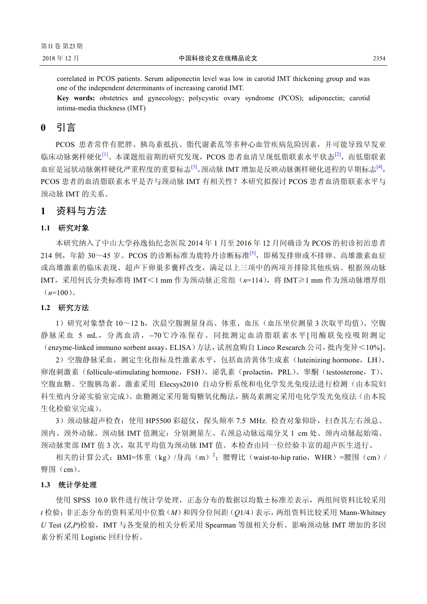correlated in PCOS patients. Serum adiponectin level was low in carotid IMT thickening group and was one of the independent determinants of increasing carotid IMT.

**Key words:** obstetrics and gynecology; polycystic ovary syndrome (PCOS); adiponectin; carotid intima-media thickness (IMT)

**0** 引言

PCOS 患者常伴有肥胖、胰岛素抵抗、脂代谢紊乱等多种心血管疾病危险因素,并可能导致早发亚 临床动脉粥样硬化<sup>[1]</sup>。本课题组前期的研究发现,PCOS 患者血清呈现低脂联素水平状态<sup>[2]</sup>,而低脂联素 血症是冠状动脉粥样硬化严重程度的重要标志<sup>[3]</sup>。颈动脉 IMT 增加是反映动脉粥样硬化进程的早期标志<sup>[4]</sup>, PCOS 患者的血清脂联素水平是否与颈动脉 IMT 有相关性? 本研究拟探讨 PCOS 患者血清脂联素水平与 颈动脉 IMT 的关系。

**1** 资料与方法

#### **1.1** 研究对象

本研究纳入了中山大学孙逸仙纪念医院 2014 年 1 月至 2016 年 12 月间确诊为 PCOS 的初诊初治患者 214 例, 年龄 30~45 岁。PCOS 的诊断标准为鹿特丹诊断标准<sup>[5]</sup>, 即稀发排卵或不排卵、高雄激素血症 或高雄激素的临床表现、超声下卵巢多囊样改变,满足以上三项中的两项并排除其他疾病。根据颈动脉 IMT,采用何氏分类标准将 IMT<1 mm 作为颈动脉正常组(*n*=114),将 IMT≥1 mm 作为颈动脉增厚组  $(n=100)$ 。

#### **1.2** 研究方法

1)研究对象禁食 10~12 h,次晨空腹测量身高、体重、血压(血压坐位测量 3 次取平均值)。空腹 静脉采血 5 mL,分离血清,−70℃冷冻保存。同批测定血清脂联素水平[用酶联免疫吸附测定 (enzyme-linked immuno sorbent assay,ELISA)方法,试剂盒购自 Linco Research 公司,批内变异<10%]。

2)空腹静脉采血,测定生化指标及性激素水平,包括血清黄体生成素(luteinizing hormone,LH)、 卵泡刺激素(follicule-stimulating hormone,FSH)、泌乳素(prolactin,PRL)、睾酮(testosterone,T)、 空腹血糖、空腹胰岛素。激素采用 Elecsys2010 自动分析系统和电化学发光免疫法进行检测(由本院妇 科生殖内分泌实验室完成)。血糖测定采用葡萄糖氧化酶法,胰岛素测定采用电化学发光免疫法(由本院 生化检验室完成)。

3)颈动脉超声检查:使用 HP5500 彩超仪,探头频率 7.5 MHz. 检查对象仰卧,扫查其左右颈总、 颈内、颈外动脉。颈动脉 IMT 值测定:分别测量左、右颈总动脉远端分叉 1 cm 处、颈内动脉起始端、 颈动脉窦部 IMT 值 3 次, 取其平均值为颈动脉 IMT 值。本检查由同一位经验丰富的超声医生进行。

相关的计算公式: BMI=体重(kg)/身高(m)<sup>2</sup>; 腰臀比(waist-to-hip ratio,WHR)=腰围(cm)/ 臀围(cm)。

#### **1.3** 统计学处理

使用 SPSS 10.0 软件进行统计学处理, 正态分布的数据以均数±标准差表示, 两组间资料比较采用 *t* 检验;非正态分布的资料采用中位数(*M*)和四分位间距(*Q*1/4)表示,两组资料比较采用 Mann-Whitney *U* Test (*Z*,*P*)检验,IMT 与各变量的相关分析采用 Spearman 等级相关分析。影响颈动脉 IMT 增加的多因 素分析采用 Logistic 回归分析。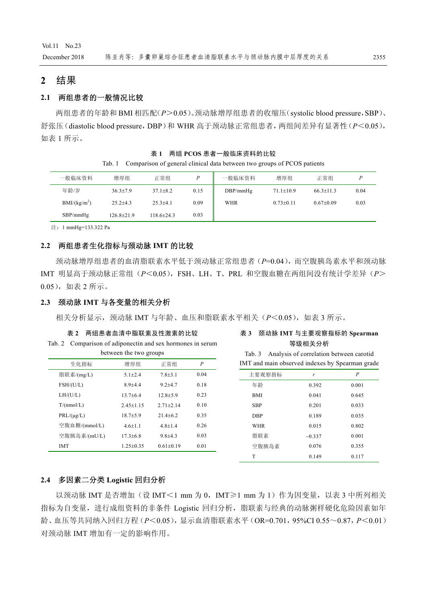Vol.11 No.23

# **2** 结果

# **2.1** 两组患者的一般情况比较

两组患者的年龄和 BMI 相匹配(*P*>0.05)。颈动脉增厚组患者的收缩压(systolic blood pressure,SBP)、 舒张压(diastolic blood pressure,DBP)和 WHR 高于颈动脉正常组患者,两组间差异有显著性(*P*<0.05), 如表 1 所示。

表 **1** 两组 **PCOS** 患者一般临床资料的比较 Tab. 1 Comparison of general clinical data between two groups of PCOS patients

| 一般临床资料                   | 增厚组              | 正常组            | D    | 一般临床资料   | 增厚组             | 正常组           |      |
|--------------------------|------------------|----------------|------|----------|-----------------|---------------|------|
| 年龄/岁                     | $36.3 + 7.9$     | $37.1 \pm 8.2$ | 0.15 | DBP/mmHg | $71.1 \pm 10.9$ | $66.3 + 11.3$ | 0.04 |
| BMI/(kg/m <sup>2</sup> ) | $25.2 + 4.3$     | $25.3 \pm 4.1$ | 0.09 | WHR      | $0.73 \pm 0.11$ | $0.67+0.09$   | 0.03 |
| SBP/mmHg                 | $126.8 \pm 21.9$ | 118.6±24.3     | 0.03 |          |                 |               |      |

注: 1 mmHg=133.322 Pa

#### **2.2** 两组患者生化指标与颈动脉 **IMT** 的比较

颈动脉增厚组患者的血清脂联素水平低于颈动脉正常组患者(*P*=0.04),而空腹胰岛素水平和颈动脉 IMT 明显高于颈动脉正常组(*P*<0.05),FSH、LH、T、PRL 和空腹血糖在两组间没有统计学差异(*P*> 0.05),如表 2 所示。

#### **2.3** 颈动脉 **IMT** 与各变量的相关分析

相关分析显示,颈动脉 IMT 与年龄、血压和脂联素水平相关(*P*<0.05),如表 3 所示。

|  | 表 2 两组患者血清中脂联素及性激素的比较                                      |  |
|--|------------------------------------------------------------|--|
|  | Tab. 2 Comparison of adiponectin and sex hormones in serum |  |

| 10U.4 | Comparison of autponcement and sex normones in serum |
|-------|------------------------------------------------------|
|       | between the two groups                               |

| 生化指标            | 增厚组           | 正常组             | $\boldsymbol{P}$ |
|-----------------|---------------|-----------------|------------------|
| 脂联素/(mg/L)      | $5.1 + 2.4$   | $7.8 + 3.1$     | 0.04             |
| FSH/(U/L)       | $8.9 + 4.4$   | $9.2 + 4.7$     | 0.18             |
| LH/(U/L)        | $13.7 + 6.4$  | $12.8 + 5.9$    | 0.23             |
| T/(nmol/L)      | $2.45 + 1.15$ | $2.71 + 2.14$   | 0.10             |
| $PRL/(\mu g/L)$ | $18.7 + 5.9$  | $21.4 + 6.2$    | 0.35             |
| 空腹血糖/(mmol/L)   | $4.6 + 1.1$   | $4.8 + 1.4$     | 0.26             |
| 空腹胰岛素/(mU/L)    | $17.3 + 6.8$  | $9.8 + 4.3$     | 0.03             |
| <b>IMT</b>      | $1.25 + 0.35$ | $0.61 \pm 0.19$ | 0.01             |
|                 |               |                 |                  |

### 表 **3** 颈动脉 **IMT** 与主要观察指标的 **Spearman** 等级相关分析

Tab. 3 Analysis of correlation between carotid IMT and main observed indexes by Spearman grade

| 主要观察指标     | r        | $\boldsymbol{P}$ |
|------------|----------|------------------|
| 年龄         | 0.392    | 0.001            |
| <b>BMI</b> | 0.041    | 0.645            |
| <b>SBP</b> | 0.201    | 0.033            |
| <b>DBP</b> | 0.189    | 0.035            |
| WHR        | 0.015    | 0.802            |
| 脂联素        | $-0.337$ | 0.001            |
| 空腹胰岛素      | 0.076    | 0.355            |
| T          | 0.149    | 0.117            |
|            |          |                  |

# **2.4** 多因素二分类 **Logistic** 回归分析

以颈动脉 IMT 是否增加(设 IMT<1 mm 为 0, IMT≥1 mm 为 1)作为因变量, 以表 3 中所列相关 指标为自变量,进行成组资料的非条件 Logistic 回归分析,脂联素与经典的动脉粥样硬化危险因素如年 龄、血压等共同纳入回归方程(*P*<0.05),显示血清脂联素水平(OR=0.701,95%CI 0.55~0.87,*P*<0.01) 对颈动脉 IMT 增加有一定的影响作用。